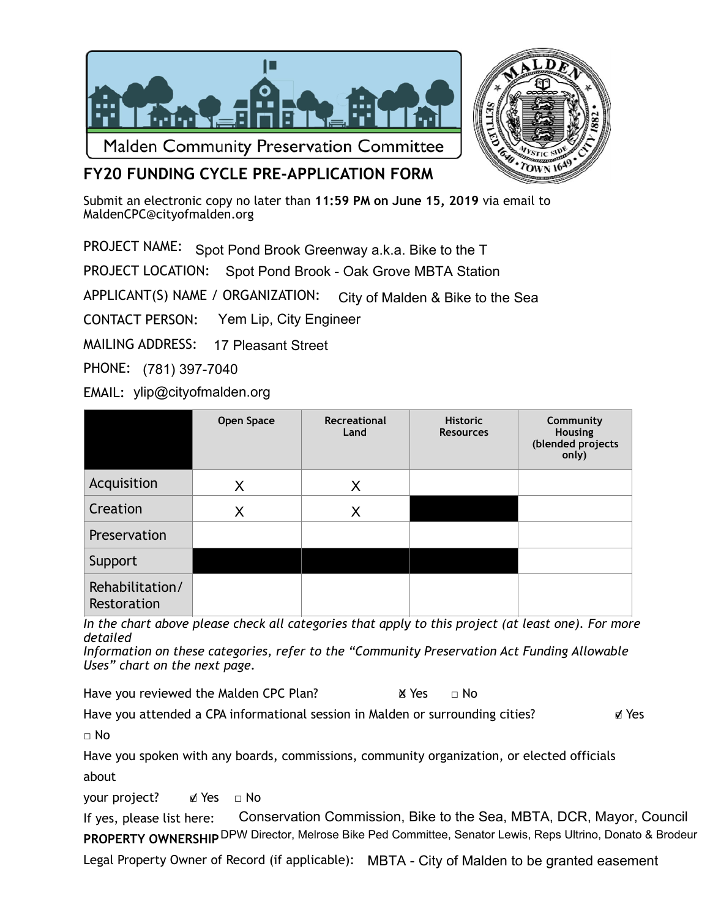



**FY20 FUNDING CYCLE PRE-APPLICATION FORM** 

Submit an electronic copy no later than **11:59 PM on June 15, 2019** via email to [MaldenCPC@cityofmalden.org](mailto:CPCMalden@gmail.com)

PROJECT NAME: Spot Pond Brook Greenway a.k.a. Bike to the T

PROJECT LOCATION: Spot Pond Brook - Oak Grove MBTA Station

APPLICANT(S) NAME / ORGANIZATION: City of Malden & Bike to the Sea

CONTACT PERSON: Yem Lip, City Engineer

MAILING ADDRESS: 17 Pleasant Street

PHONE: (781) 397-7040

EMAIL: ylip@cityofmalden.org

|                                | Open Space | Recreational<br>Land | <b>Historic</b><br><b>Resources</b> | Community<br>Housing<br>(blended projects<br>only) |
|--------------------------------|------------|----------------------|-------------------------------------|----------------------------------------------------|
| Acquisition                    | X          | X                    |                                     |                                                    |
| Creation                       | X          | X                    |                                     |                                                    |
| Preservation                   |            |                      |                                     |                                                    |
| Support                        |            |                      |                                     |                                                    |
| Rehabilitation/<br>Restoration |            |                      |                                     |                                                    |

*In the chart above please check all categories that apply to this project (at least one). For more detailed* 

*Information on these categories, refer to the "Community Preservation Act Funding Allowable Uses" chart on the next page.* 

Have you reviewed the Malden CPC Plan?  $\blacksquare$  Yes  $\blacksquare$  No

Have you attended a CPA informational session in Malden or surrounding cities? ■ Yes

□ No

Have you spoken with any boards, commissions, community organization, or elected officials about

your project? ø Yes □ No

If yes, please list here: **PROPERTY OWNERSHIP** <sup>DPW</sup> Director, Melrose Bike Ped Committee, Senator Lewis, Reps Ultrino, Donato & Brodeur Conservation Commission, Bike to the Sea, MBTA, DCR, Mayor, Council

Legal Property Owner of Record (if applicable): MBTA - City of Malden to be granted easement